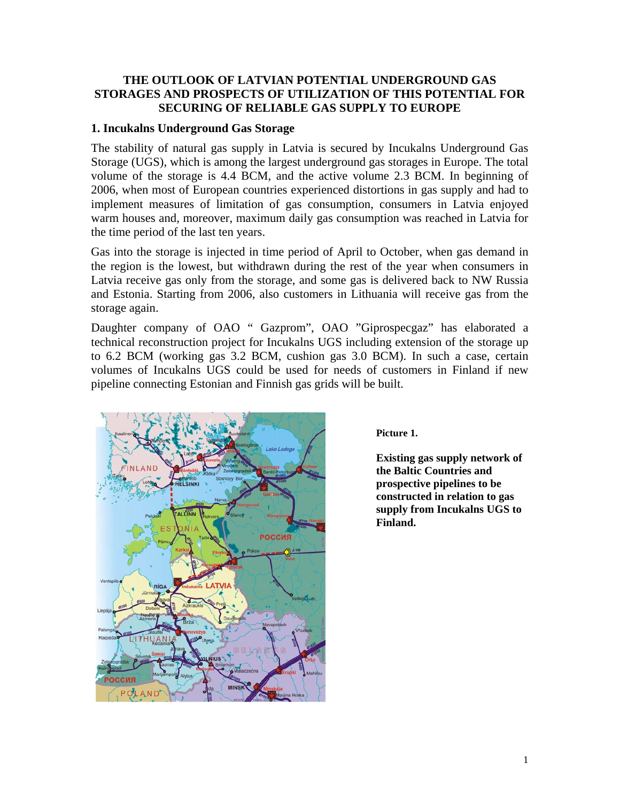## **THE OUTLOOK OF LATVIAN POTENTIAL UNDERGROUND GAS STORAGES AND PROSPECTS OF UTILIZATION OF THIS POTENTIAL FOR SECURING OF RELIABLE GAS SUPPLY TO EUROPE**

## **1. Incukalns Underground Gas Storage**

The stability of natural gas supply in Latvia is secured by Incukalns Underground Gas Storage (UGS), which is among the largest underground gas storages in Europe. The total volume of the storage is 4.4 BCM, and the active volume 2.3 BCM. In beginning of 2006, when most of European countries experienced distortions in gas supply and had to implement measures of limitation of gas consumption, consumers in Latvia enjoyed warm houses and, moreover, maximum daily gas consumption was reached in Latvia for the time period of the last ten years.

Gas into the storage is injected in time period of April to October, when gas demand in the region is the lowest, but withdrawn during the rest of the year when consumers in Latvia receive gas only from the storage, and some gas is delivered back to NW Russia and Estonia. Starting from 2006, also customers in Lithuania will receive gas from the storage again.

Daughter company of OAO " Gazprom", OAO "Giprospecgaz" has elaborated a technical reconstruction project for Incukalns UGS including extension of the storage up to 6.2 BCM (working gas 3.2 BCM, cushion gas 3.0 BCM). In such a case, certain volumes of Incukalns UGS could be used for needs of customers in Finland if new pipeline connecting Estonian and Finnish gas grids will be built.



**Picture 1.** 

**Existing gas supply network of the Baltic Countries and prospective pipelines to be constructed in relation to gas supply from Incukalns UGS to Finland.**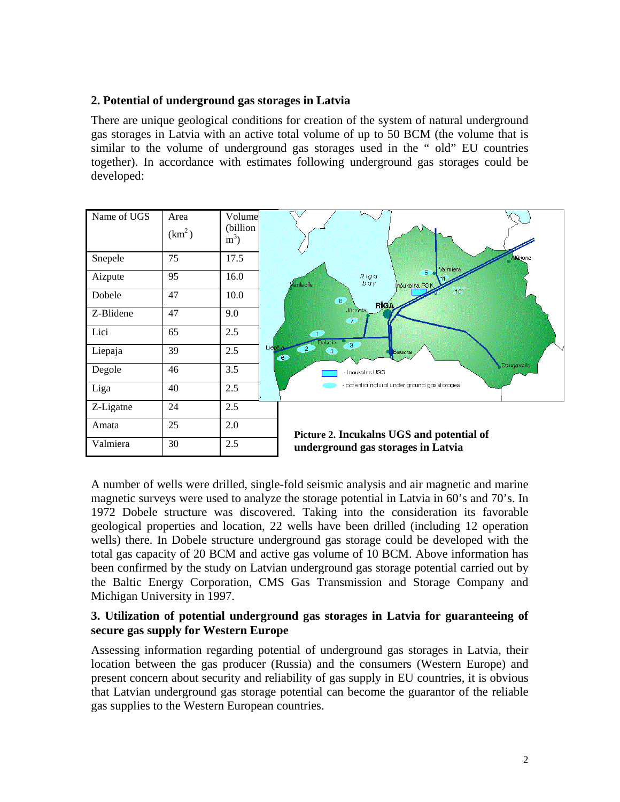## **2. Potential of underground gas storages in Latvia**

There are unique geological conditions for creation of the system of natural underground gas storages in Latvia with an active total volume of up to 50 BCM (the volume that is similar to the volume of underground gas storages used in the " old" EU countries together). In accordance with estimates following underground gas storages could be developed:

| Name of UGS | Area<br>(km <sup>2</sup> ) | Volume<br>(billion)<br>$m^3$ ) |                                                                                                                                                                                                                                                                                                       |
|-------------|----------------------------|--------------------------------|-------------------------------------------------------------------------------------------------------------------------------------------------------------------------------------------------------------------------------------------------------------------------------------------------------|
| Snepele     | 75                         | 17.5                           | Alluksne<br>Valmiera<br>5 <sup>o</sup><br>Riga<br>bay<br>Ventspils<br>Inoukalna PGK<br>10<br>$\bigcirc$<br><b>RIGA</b><br>Jürmata<br>Œ<br>$\bullet$<br><b>Dobele</b><br>$\overline{\bullet}$<br>Liepāis<br>$\mathbf{2}$<br>$\left( 4 \right)$<br>Bauska<br>$\bullet$<br>Daugavpils<br>- Inoukalns UGS |
| Aizpute     | 95                         | 16.0                           |                                                                                                                                                                                                                                                                                                       |
| Dobele      | 47                         | 10.0                           |                                                                                                                                                                                                                                                                                                       |
| Z-Blidene   | 47                         | 9.0                            |                                                                                                                                                                                                                                                                                                       |
| Lici        | 65                         | 2.5                            |                                                                                                                                                                                                                                                                                                       |
| Liepaja     | 39                         | 2.5                            |                                                                                                                                                                                                                                                                                                       |
| Degole      | 46                         | 3.5                            |                                                                                                                                                                                                                                                                                                       |
| Liga        | 40                         | 2.5                            | potential natural under ground gas storages                                                                                                                                                                                                                                                           |
| Z-Ligatne   | 24                         | 2.5                            |                                                                                                                                                                                                                                                                                                       |
| Amata       | 25                         | 2.0                            | Picture 2. Incukalns UGS and potential of<br>underground gas storages in Latvia                                                                                                                                                                                                                       |
| Valmiera    | 30                         | 2.5                            |                                                                                                                                                                                                                                                                                                       |

A number of wells were drilled, single-fold seismic analysis and air magnetic and marine magnetic surveys were used to analyze the storage potential in Latvia in 60's and 70's. In 1972 Dobele structure was discovered. Taking into the consideration its favorable geological properties and location, 22 wells have been drilled (including 12 operation wells) there. In Dobele structure underground gas storage could be developed with the total gas capacity of 20 BCM and active gas volume of 10 BCM. Above information has been confirmed by the study on Latvian underground gas storage potential carried out by the Baltic Energy Corporation, CMS Gas Transmission and Storage Company and Michigan University in 1997.

## **3. Utilization of potential underground gas storages in Latvia for guaranteeing of secure gas supply for Western Europe**

Assessing information regarding potential of underground gas storages in Latvia, their location between the gas producer (Russia) and the consumers (Western Europe) and present concern about security and reliability of gas supply in EU countries, it is obvious that Latvian underground gas storage potential can become the guarantor of the reliable gas supplies to the Western European countries.